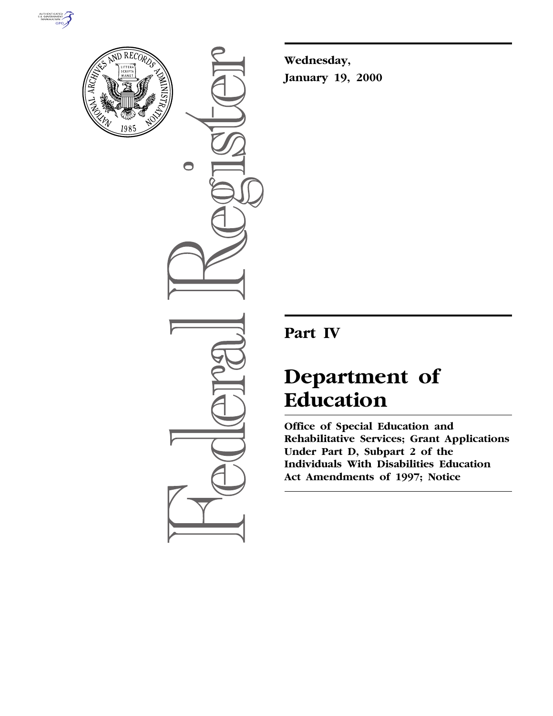



 $\bigcirc$ 

**Wednesday, January 19, 2000**

# **Part IV**

# **Department of Education**

**Office of Special Education and Rehabilitative Services; Grant Applications Under Part D, Subpart 2 of the Individuals With Disabilities Education Act Amendments of 1997; Notice**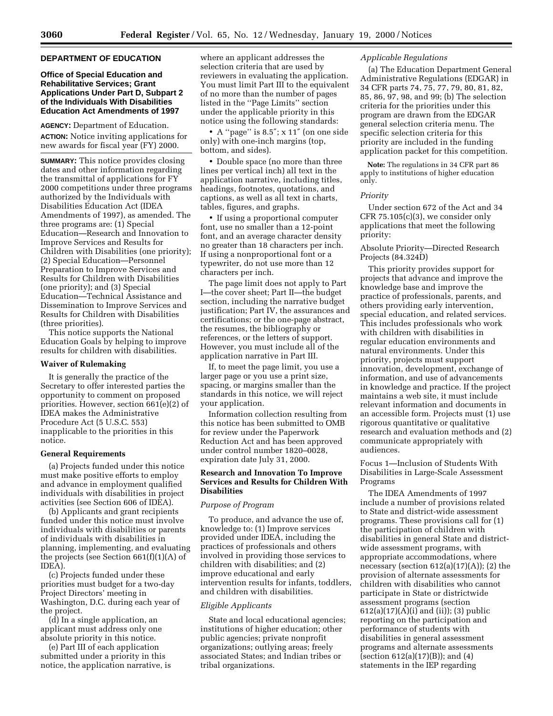# **DEPARTMENT OF EDUCATION**

# **Office of Special Education and Rehabilitative Services; Grant Applications Under Part D, Subpart 2 of the Individuals With Disabilities Education Act Amendments of 1997**

**AGENCY:** Department of Education. **ACTION:** Notice inviting applications for new awards for fiscal year (FY) 2000.

**SUMMARY:** This notice provides closing dates and other information regarding the transmittal of applications for FY 2000 competitions under three programs authorized by the Individuals with Disabilities Education Act (IDEA Amendments of 1997), as amended. The three programs are: (1) Special Education—Research and Innovation to Improve Services and Results for Children with Disabilities (one priority); (2) Special Education—Personnel Preparation to Improve Services and Results for Children with Disabilities (one priority); and (3) Special Education—Technical Assistance and Dissemination to Improve Services and Results for Children with Disabilities (three priorities).

This notice supports the National Education Goals by helping to improve results for children with disabilities.

#### **Waiver of Rulemaking**

It is generally the practice of the Secretary to offer interested parties the opportunity to comment on proposed priorities. However, section 661(e)(2) of IDEA makes the Administrative Procedure Act (5 U.S.C. 553) inapplicable to the priorities in this notice.

#### **General Requirements**

(a) Projects funded under this notice must make positive efforts to employ and advance in employment qualified individuals with disabilities in project activities (see Section 606 of IDEA).

(b) Applicants and grant recipients funded under this notice must involve individuals with disabilities or parents of individuals with disabilities in planning, implementing, and evaluating the projects (see Section 661(f)(1)(A) of IDEA).

(c) Projects funded under these priorities must budget for a two-day Project Directors' meeting in Washington, D.C. during each year of the project.

(d) In a single application, an applicant must address only one absolute priority in this notice.

(e) Part III of each application submitted under a priority in this notice, the application narrative, is where an applicant addresses the selection criteria that are used by reviewers in evaluating the application. You must limit Part III to the equivalent of no more than the number of pages listed in the ''Page Limits'' section under the applicable priority in this notice using the following standards:

• A ''page'' is 8.5″; x 11″ (on one side only) with one-inch margins (top, bottom, and sides).

• Double space (no more than three lines per vertical inch) all text in the application narrative, including titles, headings, footnotes, quotations, and captions, as well as all text in charts, tables, figures, and graphs.

• If using a proportional computer font, use no smaller than a 12-point font, and an average character density no greater than 18 characters per inch. If using a nonproportional font or a typewriter, do not use more than 12 characters per inch.

The page limit does not apply to Part I—the cover sheet; Part II—the budget section, including the narrative budget justification; Part IV, the assurances and certifications; or the one-page abstract, the resumes, the bibliography or references, or the letters of support. However, you must include all of the application narrative in Part III.

If, to meet the page limit, you use a larger page or you use a print size, spacing, or margins smaller than the standards in this notice, we will reject your application.

Information collection resulting from this notice has been submitted to OMB for review under the Paperwork Reduction Act and has been approved under control number 1820–0028, expiration date July 31, 2000.

# **Research and Innovation To Improve Services and Results for Children With Disabilities**

# *Purpose of Program*

To produce, and advance the use of, knowledge to: (1) Improve services provided under IDEA, including the practices of professionals and others involved in providing those services to children with disabilities; and (2) improve educational and early intervention results for infants, toddlers, and children with disabilities.

# *Eligible Applicants*

State and local educational agencies; institutions of higher education; other public agencies; private nonprofit organizations; outlying areas; freely associated States; and Indian tribes or tribal organizations.

# *Applicable Regulations*

(a) The Education Department General Administrative Regulations (EDGAR) in 34 CFR parts 74, 75, 77, 79, 80, 81, 82, 85, 86, 97, 98, and 99; (b) The selection criteria for the priorities under this program are drawn from the EDGAR general selection criteria menu. The specific selection criteria for this priority are included in the funding application packet for this competition.

**Note:** The regulations in 34 CFR part 86 apply to institutions of higher education only.

#### *Priority*

Under section 672 of the Act and 34 CFR 75.105(c)(3), we consider only applications that meet the following priority:

Absolute Priority—Directed Research Projects (84.324D)

This priority provides support for projects that advance and improve the knowledge base and improve the practice of professionals, parents, and others providing early intervention, special education, and related services. This includes professionals who work with children with disabilities in regular education environments and natural environments. Under this priority, projects must support innovation, development, exchange of information, and use of advancements in knowledge and practice. If the project maintains a web site, it must include relevant information and documents in an accessible form. Projects must (1) use rigorous quantitative or qualitative research and evaluation methods and (2) communicate appropriately with audiences.

Focus 1—Inclusion of Students With Disabilities in Large-Scale Assessment Programs

The IDEA Amendments of 1997 include a number of provisions related to State and district-wide assessment programs. These provisions call for (1) the participation of children with disabilities in general State and districtwide assessment programs, with appropriate accommodations, where necessary (section 612(a)(17)(A)); (2) the provision of alternate assessments for children with disabilities who cannot participate in State or districtwide assessment programs (section  $612(a)(17)(A)(i)$  and (ii)); (3) public reporting on the participation and performance of students with disabilities in general assessment programs and alternate assessments (section 612(a)(17)(B)); and (4) statements in the IEP regarding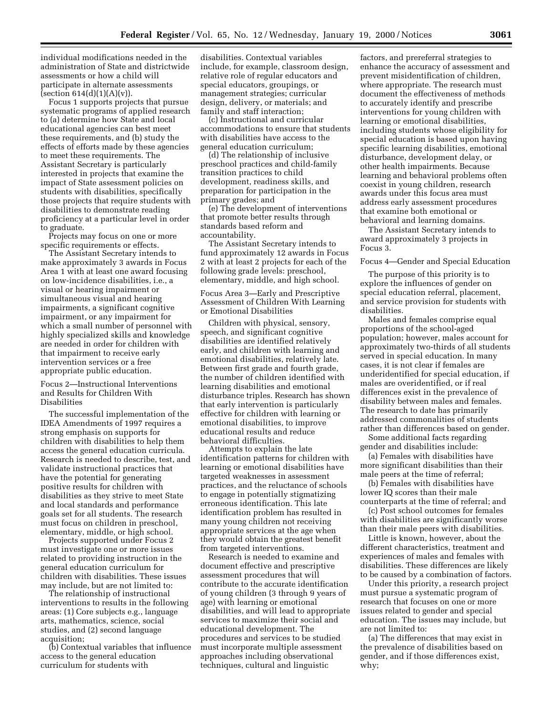individual modifications needed in the administration of State and districtwide assessments or how a child will participate in alternate assessments (section  $614(d)(1)(A)(v)$ ).

Focus 1 supports projects that pursue systematic programs of applied research to (a) determine how State and local educational agencies can best meet these requirements, and (b) study the effects of efforts made by these agencies to meet these requirements. The Assistant Secretary is particularly interested in projects that examine the impact of State assessment policies on students with disabilities, specifically those projects that require students with disabilities to demonstrate reading proficiency at a particular level in order to graduate.

Projects may focus on one or more specific requirements or effects.

The Assistant Secretary intends to make approximately 3 awards in Focus Area 1 with at least one award focusing on low-incidence disabilities, i.e., a visual or hearing impairment or simultaneous visual and hearing impairments, a significant cognitive impairment, or any impairment for which a small number of personnel with highly specialized skills and knowledge are needed in order for children with that impairment to receive early intervention services or a free appropriate public education.

Focus 2—Instructional Interventions and Results for Children With Disabilities

The successful implementation of the IDEA Amendments of 1997 requires a strong emphasis on supports for children with disabilities to help them access the general education curricula. Research is needed to describe, test, and validate instructional practices that have the potential for generating positive results for children with disabilities as they strive to meet State and local standards and performance goals set for all students. The research must focus on children in preschool, elementary, middle, or high school.

Projects supported under Focus 2 must investigate one or more issues related to providing instruction in the general education curriculum for children with disabilities. These issues may include, but are not limited to:

The relationship of instructional interventions to results in the following areas: (1) Core subjects e.g., language arts, mathematics, science, social studies, and (2) second language acquisition;

(b) Contextual variables that influence access to the general education curriculum for students with

disabilities. Contextual variables include, for example, classroom design, relative role of regular educators and special educators, groupings, or management strategies; curricular design, delivery, or materials; and family and staff interaction;

(c) Instructional and curricular accommodations to ensure that students with disabilities have access to the general education curriculum;

(d) The relationship of inclusive preschool practices and child-family transition practices to child development, readiness skills, and preparation for participation in the primary grades; and

(e) The development of interventions that promote better results through standards based reform and accountability.

The Assistant Secretary intends to fund approximately 12 awards in Focus 2 with at least 2 projects for each of the following grade levels: preschool, elementary, middle, and high school.

Focus Area 3—Early and Prescriptive Assessment of Children With Learning or Emotional Disabilities

Children with physical, sensory, speech, and significant cognitive disabilities are identified relatively early, and children with learning and emotional disabilities, relatively late. Between first grade and fourth grade, the number of children identified with learning disabilities and emotional disturbance triples. Research has shown that early intervention is particularly effective for children with learning or emotional disabilities, to improve educational results and reduce behavioral difficulties.

Attempts to explain the late identification patterns for children with learning or emotional disabilities have targeted weaknesses in assessment practices, and the reluctance of schools to engage in potentially stigmatizing erroneous identification. This late identification problem has resulted in many young children not receiving appropriate services at the age when they would obtain the greatest benefit from targeted interventions.

Research is needed to examine and document effective and prescriptive assessment procedures that will contribute to the accurate identification of young children (3 through 9 years of age) with learning or emotional disabilities, and will lead to appropriate services to maximize their social and educational development. The procedures and services to be studied must incorporate multiple assessment approaches including observational techniques, cultural and linguistic

factors, and prereferral strategies to enhance the accuracy of assessment and prevent misidentification of children, where appropriate. The research must document the effectiveness of methods to accurately identify and prescribe interventions for young children with learning or emotional disabilities, including students whose eligibility for special education is based upon having specific learning disabilities, emotional disturbance, development delay, or other health impairments. Because learning and behavioral problems often coexist in young children, research awards under this focus area must address early assessment procedures that examine both emotional or behavioral and learning domains.

The Assistant Secretary intends to award approximately 3 projects in Focus 3.

Focus 4—Gender and Special Education

The purpose of this priority is to explore the influences of gender on special education referral, placement, and service provision for students with disabilities.

Males and females comprise equal proportions of the school-aged population; however, males account for approximately two-thirds of all students served in special education. In many cases, it is not clear if females are underidentified for special education, if males are overidentified, or if real differences exist in the prevalence of disability between males and females. The research to date has primarily addressed commonalities of students rather than differences based on gender.

Some additional facts regarding gender and disabilities include:

(a) Females with disabilities have more significant disabilities than their male peers at the time of referral;

(b) Females with disabilities have lower IQ scores than their male counterparts at the time of referral; and

(c) Post school outcomes for females with disabilities are significantly worse than their male peers with disabilities.

Little is known, however, about the different characteristics, treatment and experiences of males and females with disabilities. These differences are likely to be caused by a combination of factors.

Under this priority, a research project must pursue a systematic program of research that focuses on one or more issues related to gender and special education. The issues may include, but are not limited to:

(a) The differences that may exist in the prevalence of disabilities based on gender, and if those differences exist, why;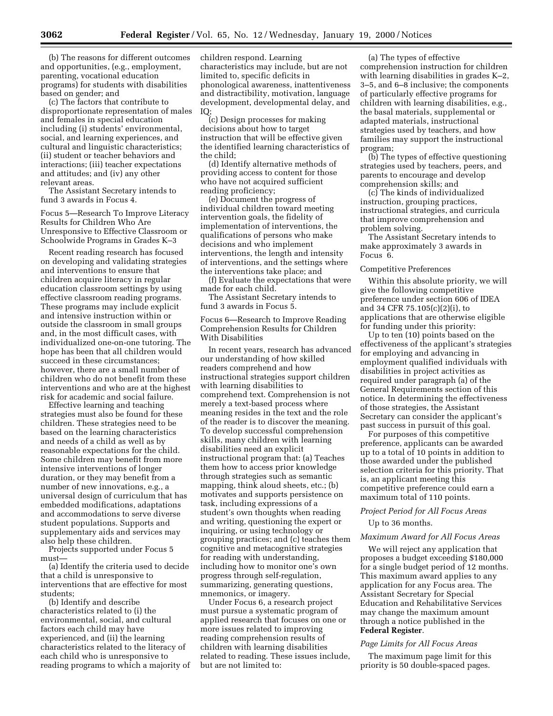(b) The reasons for different outcomes and opportunities, (e.g., employment, parenting, vocational education programs) for students with disabilities based on gender; and

(c) The factors that contribute to disproportionate representation of males and females in special education including (i) students' environmental, social, and learning experiences, and cultural and linguistic characteristics; (ii) student or teacher behaviors and interactions; (iii) teacher expectations and attitudes; and (iv) any other relevant areas.

The Assistant Secretary intends to fund 3 awards in Focus 4.

Focus 5—Research To Improve Literacy Results for Children Who Are Unresponsive to Effective Classroom or Schoolwide Programs in Grades K–3

Recent reading research has focused on developing and validating strategies and interventions to ensure that children acquire literacy in regular education classroom settings by using effective classroom reading programs. These programs may include explicit and intensive instruction within or outside the classroom in small groups and, in the most difficult cases, with individualized one-on-one tutoring. The hope has been that all children would succeed in these circumstances; however, there are a small number of children who do not benefit from these interventions and who are at the highest risk for academic and social failure.

Effective learning and teaching strategies must also be found for these children. These strategies need to be based on the learning characteristics and needs of a child as well as by reasonable expectations for the child. Some children may benefit from more intensive interventions of longer duration, or they may benefit from a number of new innovations, e.g., a universal design of curriculum that has embedded modifications, adaptations and accommodations to serve diverse student populations. Supports and supplementary aids and services may also help these children.

Projects supported under Focus 5 must—

(a) Identify the criteria used to decide that a child is unresponsive to interventions that are effective for most students;

(b) Identify and describe characteristics related to (i) the environmental, social, and cultural factors each child may have experienced, and (ii) the learning characteristics related to the literacy of each child who is unresponsive to reading programs to which a majority of children respond. Learning characteristics may include, but are not limited to, specific deficits in phonological awareness, inattentiveness and distractibility, motivation, language development, developmental delay, and IQ;

(c) Design processes for making decisions about how to target instruction that will be effective given the identified learning characteristics of the child;

(d) Identify alternative methods of providing access to content for those who have not acquired sufficient reading proficiency;

(e) Document the progress of individual children toward meeting intervention goals, the fidelity of implementation of interventions, the qualifications of persons who make decisions and who implement interventions, the length and intensity of interventions, and the settings where the interventions take place; and

(f) Evaluate the expectations that were made for each child.

The Assistant Secretary intends to fund 3 awards in Focus 5.

Focus 6—Research to Improve Reading Comprehension Results for Children With Disabilities

In recent years, research has advanced our understanding of how skilled readers comprehend and how instructional strategies support children with learning disabilities to comprehend text. Comprehension is not merely a text-based process where meaning resides in the text and the role of the reader is to discover the meaning. To develop successful comprehension skills, many children with learning disabilities need an explicit instructional program that: (a) Teaches them how to access prior knowledge through strategies such as semantic mapping, think aloud sheets, etc.; (b) motivates and supports persistence on task, including expressions of a student's own thoughts when reading and writing, questioning the expert or inquiring, or using technology or grouping practices; and (c) teaches them cognitive and metacognitive strategies for reading with understanding, including how to monitor one's own progress through self-regulation, summarizing, generating questions, mnemonics, or imagery.

Under Focus 6, a research project must pursue a systematic program of applied research that focuses on one or more issues related to improving reading comprehension results of children with learning disabilities related to reading. These issues include, but are not limited to:

(a) The types of effective comprehension instruction for children with learning disabilities in grades K–2, 3–5, and 6–8 inclusive; the components of particularly effective programs for children with learning disabilities, e.g., the basal materials, supplemental or adapted materials, instructional strategies used by teachers, and how families may support the instructional program;

(b) The types of effective questioning strategies used by teachers, peers, and parents to encourage and develop comprehension skills; and

(c) The kinds of individualized instruction, grouping practices, instructional strategies, and curricula that improve comprehension and problem solving.

The Assistant Secretary intends to make approximately 3 awards in Focus 6.

#### Competitive Preferences

Within this absolute priority, we will give the following competitive preference under section 606 of IDEA and 34 CFR 75.105(c)(2)(i), to applications that are otherwise eligible for funding under this priority:

Up to ten (10) points based on the effectiveness of the applicant's strategies for employing and advancing in employment qualified individuals with disabilities in project activities as required under paragraph (a) of the General Requirements section of this notice. In determining the effectiveness of those strategies, the Assistant Secretary can consider the applicant's past success in pursuit of this goal.

For purposes of this competitive preference, applicants can be awarded up to a total of 10 points in addition to those awarded under the published selection criteria for this priority. That is, an applicant meeting this competitive preference could earn a maximum total of 110 points.

# *Project Period for All Focus Areas*

Up to 36 months.

#### *Maximum Award for All Focus Areas*

We will reject any application that proposes a budget exceeding \$180,000 for a single budget period of 12 months. This maximum award applies to any application for any Focus area. The Assistant Secretary for Special Education and Rehabilitative Services may change the maximum amount through a notice published in the **Federal Register**.

#### *Page Limits for All Focus Areas*

The maximum page limit for this priority is 50 double-spaced pages.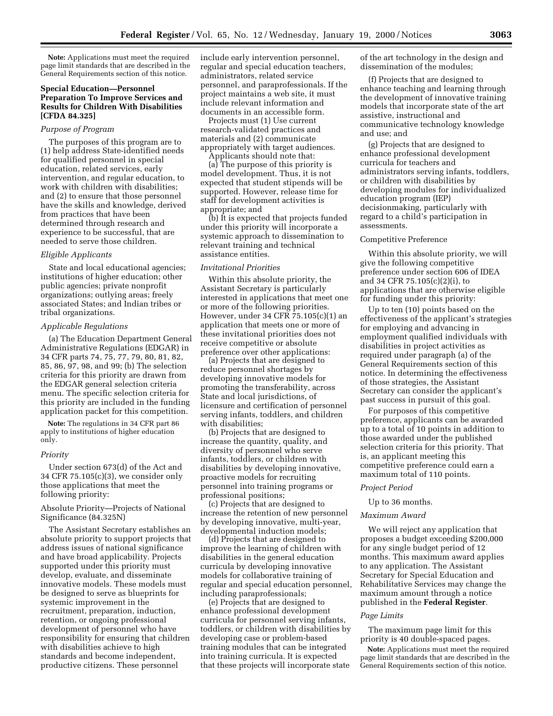**Note:** Applications must meet the required page limit standards that are described in the General Requirements section of this notice.

# **Special Education—Personnel Preparation To Improve Services and Results for Children With Disabilities [CFDA 84.325]**

#### *Purpose of Program*

The purposes of this program are to (1) help address State-identified needs for qualified personnel in special education, related services, early intervention, and regular education, to work with children with disabilities; and (2) to ensure that those personnel have the skills and knowledge, derived from practices that have been determined through research and experience to be successful, that are needed to serve those children.

#### *Eligible Applicants*

State and local educational agencies; institutions of higher education; other public agencies; private nonprofit organizations; outlying areas; freely associated States; and Indian tribes or tribal organizations.

# *Applicable Regulations*

(a) The Education Department General Administrative Regulations (EDGAR) in 34 CFR parts 74, 75, 77, 79, 80, 81, 82, 85, 86, 97, 98, and 99; (b) The selection criteria for this priority are drawn from the EDGAR general selection criteria menu. The specific selection criteria for this priority are included in the funding application packet for this competition.

**Note:** The regulations in 34 CFR part 86 apply to institutions of higher education only.

#### *Priority*

Under section 673(d) of the Act and 34 CFR 75.105(c)(3), we consider only those applications that meet the following priority:

# Absolute Priority—Projects of National Significance (84.325N)

The Assistant Secretary establishes an absolute priority to support projects that address issues of national significance and have broad applicability. Projects supported under this priority must develop, evaluate, and disseminate innovative models. These models must be designed to serve as blueprints for systemic improvement in the recruitment, preparation, induction, retention, or ongoing professional development of personnel who have responsibility for ensuring that children with disabilities achieve to high standards and become independent, productive citizens. These personnel

include early intervention personnel, regular and special education teachers, administrators, related service personnel, and paraprofessionals. If the project maintains a web site, it must include relevant information and documents in an accessible form.

Projects must (1) Use current research-validated practices and materials and (2) communicate appropriately with target audiences. Applicants should note that:

(a) The purpose of this priority is model development. Thus, it is not expected that student stipends will be supported. However, release time for staff for development activities is appropriate; and

(b) It is expected that projects funded under this priority will incorporate a systemic approach to dissemination to relevant training and technical assistance entities.

# *Invitational Priorities*

Within this absolute priority, the Assistant Secretary is particularly interested in applications that meet one or more of the following priorities. However, under 34 CFR 75.105(c)(1) an application that meets one or more of these invitational priorities does not receive competitive or absolute preference over other applications:

(a) Projects that are designed to reduce personnel shortages by developing innovative models for promoting the transferability, across State and local jurisdictions, of licensure and certification of personnel serving infants, toddlers, and children with disabilities;

(b) Projects that are designed to increase the quantity, quality, and diversity of personnel who serve infants, toddlers, or children with disabilities by developing innovative, proactive models for recruiting personnel into training programs or professional positions;

(c) Projects that are designed to increase the retention of new personnel by developing innovative, multi-year, developmental induction models;

(d) Projects that are designed to improve the learning of children with disabilities in the general education curricula by developing innovative models for collaborative training of regular and special education personnel, including paraprofessionals;

(e) Projects that are designed to enhance professional development curricula for personnel serving infants, toddlers, or children with disabilities by developing case or problem-based training modules that can be integrated into training curricula. It is expected that these projects will incorporate state

of the art technology in the design and dissemination of the modules;

(f) Projects that are designed to enhance teaching and learning through the development of innovative training models that incorporate state of the art assistive, instructional and communicative technology knowledge and use; and

(g) Projects that are designed to enhance professional development curricula for teachers and administrators serving infants, toddlers, or children with disabilities by developing modules for individualized education program (IEP) decisionmaking, particularly with regard to a child's participation in assessments.

# Competitive Preference

Within this absolute priority, we will give the following competitive preference under section 606 of IDEA and 34 CFR 75.105(c)(2)(i), to applications that are otherwise eligible for funding under this priority:

Up to ten (10) points based on the effectiveness of the applicant's strategies for employing and advancing in employment qualified individuals with disabilities in project activities as required under paragraph (a) of the General Requirements section of this notice. In determining the effectiveness of those strategies, the Assistant Secretary can consider the applicant's past success in pursuit of this goal.

For purposes of this competitive preference, applicants can be awarded up to a total of 10 points in addition to those awarded under the published selection criteria for this priority. That is, an applicant meeting this competitive preference could earn a maximum total of 110 points.

#### *Project Period*

Up to 36 months.

# *Maximum Award*

We will reject any application that proposes a budget exceeding \$200,000 for any single budget period of 12 months. This maximum award applies to any application. The Assistant Secretary for Special Education and Rehabilitative Services may change the maximum amount through a notice published in the **Federal Register**.

#### *Page Limits*

The maximum page limit for this priority is 40 double-spaced pages.

**Note:** Applications must meet the required page limit standards that are described in the General Requirements section of this notice.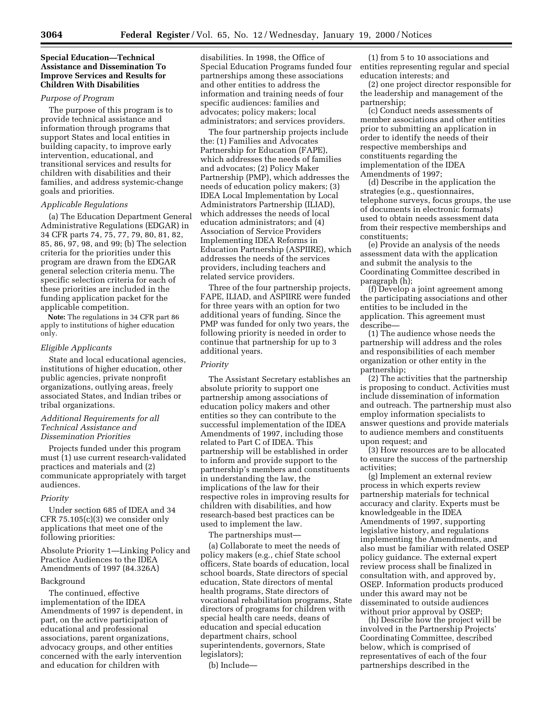# **Special Education—Technical Assistance and Dissemination To Improve Services and Results for Children With Disabilities**

# *Purpose of Program*

The purpose of this program is to provide technical assistance and information through programs that support States and local entities in building capacity, to improve early intervention, educational, and transitional services and results for children with disabilities and their families, and address systemic-change goals and priorities.

# *Applicable Regulations*

(a) The Education Department General Administrative Regulations (EDGAR) in 34 CFR parts 74, 75, 77, 79, 80, 81, 82, 85, 86, 97, 98, and 99; (b) The selection criteria for the priorities under this program are drawn from the EDGAR general selection criteria menu. The specific selection criteria for each of these priorities are included in the funding application packet for the applicable competition.

**Note:** The regulations in 34 CFR part 86 apply to institutions of higher education only.

# *Eligible Applicants*

State and local educational agencies, institutions of higher education, other public agencies, private nonprofit organizations, outlying areas, freely associated States, and Indian tribes or tribal organizations.

# *Additional Requirements for all Technical Assistance and Dissemination Priorities*

Projects funded under this program must (1) use current research-validated practices and materials and (2) communicate appropriately with target audiences.

# *Priority*

Under section 685 of IDEA and 34 CFR 75.105(c)(3) we consider only applications that meet one of the following priorities:

Absolute Priority 1—Linking Policy and Practice Audiences to the IDEA Amendments of 1997 (84.326A)

# Background

The continued, effective implementation of the IDEA Amendments of 1997 is dependent, in part, on the active participation of educational and professional associations, parent organizations, advocacy groups, and other entities concerned with the early intervention and education for children with

disabilities. In 1998, the Office of Special Education Programs funded four partnerships among these associations and other entities to address the information and training needs of four specific audiences: families and advocates; policy makers; local administrators; and services providers.

The four partnership projects include the: (1) Families and Advocates Partnership for Education (FAPE), which addresses the needs of families and advocates; (2) Policy Maker Partnership (PMP), which addresses the needs of education policy makers; (3) IDEA Local Implementation by Local Administrators Partnership (ILIAD), which addresses the needs of local education administrators; and (4) Association of Service Providers Implementing IDEA Reforms in Education Partnership (ASPIIRE), which addresses the needs of the services providers, including teachers and related service providers.

Three of the four partnership projects, FAPE, ILIAD, and ASPIIRE were funded for three years with an option for two additional years of funding. Since the PMP was funded for only two years, the following priority is needed in order to continue that partnership for up to 3 additional years.

# *Priority*

The Assistant Secretary establishes an absolute priority to support one partnership among associations of education policy makers and other entities so they can contribute to the successful implementation of the IDEA Amendments of 1997, including those related to Part C of IDEA. This partnership will be established in order to inform and provide support to the partnership's members and constituents in understanding the law, the implications of the law for their respective roles in improving results for children with disabilities, and how research-based best practices can be used to implement the law.

The partnerships must—

(a) Collaborate to meet the needs of policy makers (e.g., chief State school officers, State boards of education, local school boards, State directors of special education, State directors of mental health programs, State directors of vocational rehabilitation programs, State directors of programs for children with special health care needs, deans of education and special education department chairs, school superintendents, governors, State legislators);

(b) Include—

(1) from 5 to 10 associations and entities representing regular and special education interests; and

(2) one project director responsible for the leadership and management of the partnership;

(c) Conduct needs assessments of member associations and other entities prior to submitting an application in order to identify the needs of their respective memberships and constituents regarding the implementation of the IDEA Amendments of 1997;

(d) Describe in the application the strategies (e.g., questionnaires, telephone surveys, focus groups, the use of documents in electronic formats) used to obtain needs assessment data from their respective memberships and constituents;

(e) Provide an analysis of the needs assessment data with the application and submit the analysis to the Coordinating Committee described in paragraph (h);

(f) Develop a joint agreement among the participating associations and other entities to be included in the application. This agreement must describe—

(1) The audience whose needs the partnership will address and the roles and responsibilities of each member organization or other entity in the partnership;

(2) The activities that the partnership is proposing to conduct. Activities must include dissemination of information and outreach. The partnership must also employ information specialists to answer questions and provide materials to audience members and constituents upon request; and

(3) How resources are to be allocated to ensure the success of the partnership activities;

(g) Implement an external review process in which experts review partnership materials for technical accuracy and clarity. Experts must be knowledgeable in the IDEA Amendments of 1997, supporting legislative history, and regulations implementing the Amendments, and also must be familiar with related OSEP policy guidance. The external expert review process shall be finalized in consultation with, and approved by, OSEP. Information products produced under this award may not be disseminated to outside audiences without prior approval by OSEP;

(h) Describe how the project will be involved in the Partnership Projects' Coordinating Committee, described below, which is comprised of representatives of each of the four partnerships described in the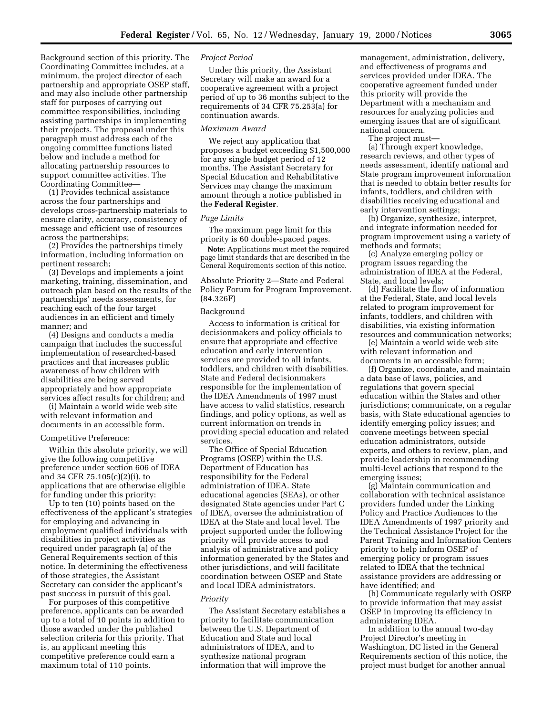Background section of this priority. The Coordinating Committee includes, at a minimum, the project director of each partnership and appropriate OSEP staff, and may also include other partnership staff for purposes of carrying out committee responsibilities, including assisting partnerships in implementing their projects. The proposal under this paragraph must address each of the ongoing committee functions listed below and include a method for allocating partnership resources to support committee activities. The Coordinating Committee—

(1) Provides technical assistance across the four partnerships and develops cross-partnership materials to ensure clarity, accuracy, consistency of message and efficient use of resources across the partnerships;

(2) Provides the partnerships timely information, including information on pertinent research;

(3) Develops and implements a joint marketing, training, dissemination, and outreach plan based on the results of the partnerships' needs assessments, for reaching each of the four target audiences in an efficient and timely manner; and

(4) Designs and conducts a media campaign that includes the successful implementation of researched-based practices and that increases public awareness of how children with disabilities are being served appropriately and how appropriate services affect results for children; and

(i) Maintain a world wide web site with relevant information and documents in an accessible form.

#### Competitive Preference:

Within this absolute priority, we will give the following competitive preference under section 606 of IDEA and 34 CFR 75.105(c)(2)(i), to applications that are otherwise eligible for funding under this priority:

Up to ten (10) points based on the effectiveness of the applicant's strategies for employing and advancing in employment qualified individuals with disabilities in project activities as required under paragraph (a) of the General Requirements section of this notice. In determining the effectiveness of those strategies, the Assistant Secretary can consider the applicant's past success in pursuit of this goal.

For purposes of this competitive preference, applicants can be awarded up to a total of 10 points in addition to those awarded under the published selection criteria for this priority. That is, an applicant meeting this competitive preference could earn a maximum total of 110 points.

# *Project Period*

Under this priority, the Assistant Secretary will make an award for a cooperative agreement with a project period of up to 36 months subject to the requirements of 34 CFR 75.253(a) for continuation awards.

#### *Maximum Award*

We reject any application that proposes a budget exceeding \$1,500,000 for any single budget period of 12 months. The Assistant Secretary for Special Education and Rehabilitative Services may change the maximum amount through a notice published in the **Federal Register**.

#### *Page Limits*

The maximum page limit for this priority is 60 double-spaced pages.

**Note:** Applications must meet the required page limit standards that are described in the General Requirements section of this notice.

Absolute Priority 2—State and Federal Policy Forum for Program Improvement. (84.326F)

## Background

Access to information is critical for decisionmakers and policy officials to ensure that appropriate and effective education and early intervention services are provided to all infants, toddlers, and children with disabilities. State and Federal decisionmakers responsible for the implementation of the IDEA Amendments of 1997 must have access to valid statistics, research findings, and policy options, as well as current information on trends in providing special education and related services.

The Office of Special Education Programs (OSEP) within the U.S. Department of Education has responsibility for the Federal administration of IDEA. State educational agencies (SEAs), or other designated State agencies under Part C of IDEA, oversee the administration of IDEA at the State and local level. The project supported under the following priority will provide access to and analysis of administrative and policy information generated by the States and other jurisdictions, and will facilitate coordination between OSEP and State and local IDEA administrators.

#### *Priority*

The Assistant Secretary establishes a priority to facilitate communication between the U.S. Department of Education and State and local administrators of IDEA, and to synthesize national program information that will improve the

management, administration, delivery, and effectiveness of programs and services provided under IDEA. The cooperative agreement funded under this priority will provide the Department with a mechanism and resources for analyzing policies and emerging issues that are of significant national concern.

The project must—

(a) Through expert knowledge, research reviews, and other types of needs assessment, identify national and State program improvement information that is needed to obtain better results for infants, toddlers, and children with disabilities receiving educational and early intervention settings;

(b) Organize, synthesize, interpret, and integrate information needed for program improvement using a variety of methods and formats;

(c) Analyze emerging policy or program issues regarding the administration of IDEA at the Federal, State, and local levels;

(d) Facilitate the flow of information at the Federal, State, and local levels related to program improvement for infants, toddlers, and children with disabilities, via existing information resources and communication networks;

(e) Maintain a world wide web site with relevant information and documents in an accessible form;

(f) Organize, coordinate, and maintain a data base of laws, policies, and regulations that govern special education within the States and other jurisdictions; communicate, on a regular basis, with State educational agencies to identify emerging policy issues; and convene meetings between special education administrators, outside experts, and others to review, plan, and provide leadership in recommending multi-level actions that respond to the emerging issues;

(g) Maintain communication and collaboration with technical assistance providers funded under the Linking Policy and Practice Audiences to the IDEA Amendments of 1997 priority and the Technical Assistance Project for the Parent Training and Information Centers priority to help inform OSEP of emerging policy or program issues related to IDEA that the technical assistance providers are addressing or have identified; and

(h) Communicate regularly with OSEP to provide information that may assist OSEP in improving its efficiency in administering IDEA.

In addition to the annual two-day Project Director's meeting in Washington, DC listed in the General Requirements section of this notice, the project must budget for another annual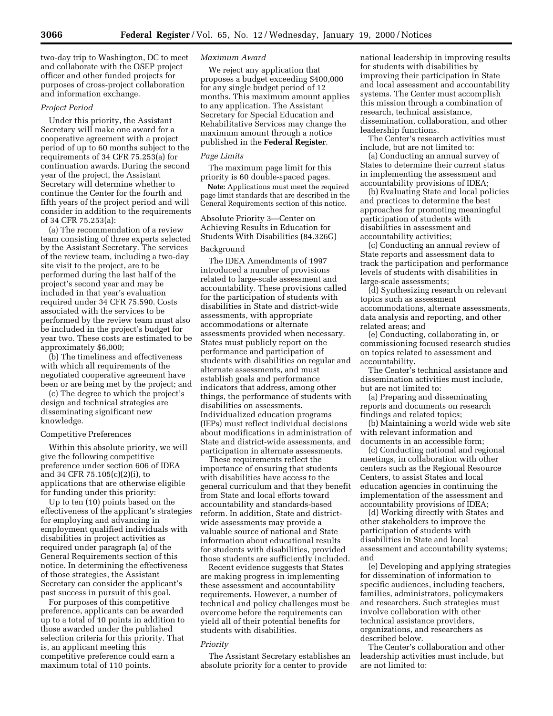two-day trip to Washington, DC to meet and collaborate with the OSEP project officer and other funded projects for purposes of cross-project collaboration and information exchange.

# *Project Period*

Under this priority, the Assistant Secretary will make one award for a cooperative agreement with a project period of up to 60 months subject to the requirements of 34 CFR 75.253(a) for continuation awards. During the second year of the project, the Assistant Secretary will determine whether to continue the Center for the fourth and fifth years of the project period and will consider in addition to the requirements of 34 CFR 75.253(a):

(a) The recommendation of a review team consisting of three experts selected by the Assistant Secretary. The services of the review team, including a two-day site visit to the project, are to be performed during the last half of the project's second year and may be included in that year's evaluation required under 34 CFR 75.590. Costs associated with the services to be performed by the review team must also be included in the project's budget for year two. These costs are estimated to be approximately \$6,000;

(b) The timeliness and effectiveness with which all requirements of the negotiated cooperative agreement have been or are being met by the project; and

(c) The degree to which the project's design and technical strategies are disseminating significant new knowledge.

#### Competitive Preferences

Within this absolute priority, we will give the following competitive preference under section 606 of IDEA and 34 CFR 75.105(c)(2)(i), to applications that are otherwise eligible for funding under this priority:

Up to ten (10) points based on the effectiveness of the applicant's strategies for employing and advancing in employment qualified individuals with disabilities in project activities as required under paragraph (a) of the General Requirements section of this notice. In determining the effectiveness of those strategies, the Assistant Secretary can consider the applicant's past success in pursuit of this goal.

For purposes of this competitive preference, applicants can be awarded up to a total of 10 points in addition to those awarded under the published selection criteria for this priority. That is, an applicant meeting this competitive preference could earn a maximum total of 110 points.

# *Maximum Award*

We reject any application that proposes a budget exceeding \$400,000 for any single budget period of 12 months. This maximum amount applies to any application. The Assistant Secretary for Special Education and Rehabilitative Services may change the maximum amount through a notice published in the **Federal Register**.

#### *Page Limits*

The maximum page limit for this priority is 60 double-spaced pages.

**Note:** Applications must meet the required page limit standards that are described in the General Requirements section of this notice.

Absolute Priority 3—Center on Achieving Results in Education for Students With Disabilities (84.326G)

# Background

The IDEA Amendments of 1997 introduced a number of provisions related to large-scale assessment and accountability. These provisions called for the participation of students with disabilities in State and district-wide assessments, with appropriate accommodations or alternate assessments provided when necessary. States must publicly report on the performance and participation of students with disabilities on regular and alternate assessments, and must establish goals and performance indicators that address, among other things, the performance of students with disabilities on assessments. Individualized education programs (IEPs) must reflect individual decisions about modifications in administration of State and district-wide assessments, and participation in alternate assessments.

These requirements reflect the importance of ensuring that students with disabilities have access to the general curriculum and that they benefit from State and local efforts toward accountability and standards-based reform. In addition, State and districtwide assessments may provide a valuable source of national and State information about educational results for students with disabilities, provided those students are sufficiently included.

Recent evidence suggests that States are making progress in implementing these assessment and accountability requirements. However, a number of technical and policy challenges must be overcome before the requirements can yield all of their potential benefits for students with disabilities.

# *Priority*

The Assistant Secretary establishes an absolute priority for a center to provide

national leadership in improving results for students with disabilities by improving their participation in State and local assessment and accountability systems. The Center must accomplish this mission through a combination of research, technical assistance, dissemination, collaboration, and other leadership functions.

The Center's research activities must include, but are not limited to:

(a) Conducting an annual survey of States to determine their current status in implementing the assessment and accountability provisions of IDEA;

(b) Evaluating State and local policies and practices to determine the best approaches for promoting meaningful participation of students with disabilities in assessment and accountability activities;

(c) Conducting an annual review of State reports and assessment data to track the participation and performance levels of students with disabilities in large-scale assessments;

(d) Synthesizing research on relevant topics such as assessment accommodations, alternate assessments, data analysis and reporting, and other related areas; and

(e) Conducting, collaborating in, or commissioning focused research studies on topics related to assessment and accountability.

The Center's technical assistance and dissemination activities must include, but are not limited to:

(a) Preparing and disseminating reports and documents on research findings and related topics;

(b) Maintaining a world wide web site with relevant information and documents in an accessible form;

(c) Conducting national and regional meetings, in collaboration with other centers such as the Regional Resource Centers, to assist States and local education agencies in continuing the implementation of the assessment and accountability provisions of IDEA;

(d) Working directly with States and other stakeholders to improve the participation of students with disabilities in State and local assessment and accountability systems; and

(e) Developing and applying strategies for dissemination of information to specific audiences, including teachers, families, administrators, policymakers and researchers. Such strategies must involve collaboration with other technical assistance providers, organizations, and researchers as described below.

The Center's collaboration and other leadership activities must include, but are not limited to: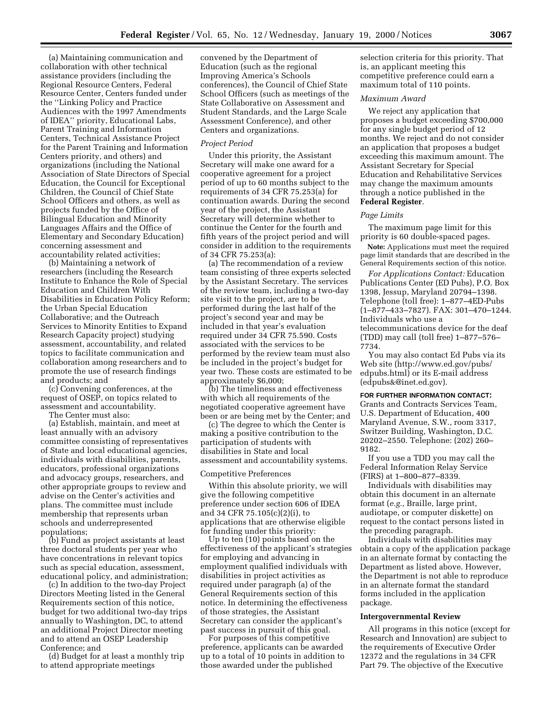(a) Maintaining communication and collaboration with other technical assistance providers (including the Regional Resource Centers, Federal Resource Center, Centers funded under the ''Linking Policy and Practice Audiences with the 1997 Amendments of IDEA'' priority, Educational Labs, Parent Training and Information Centers, Technical Assistance Project for the Parent Training and Information Centers priority, and others) and organizations (including the National Association of State Directors of Special Education, the Council for Exceptional Children, the Council of Chief State School Officers and others, as well as projects funded by the Office of Bilingual Education and Minority Languages Affairs and the Office of Elementary and Secondary Education) concerning assessment and accountability related activities;

(b) Maintaining a network of researchers (including the Research Institute to Enhance the Role of Special Education and Children With Disabilities in Education Policy Reform; the Urban Special Education Collaborative; and the Outreach Services to Minority Entities to Expand Research Capacity project) studying assessment, accountability, and related topics to facilitate communication and collaboration among researchers and to promote the use of research findings and products; and

(c) Convening conferences, at the request of OSEP, on topics related to assessment and accountability.

The Center must also:

(a) Establish, maintain, and meet at least annually with an advisory committee consisting of representatives of State and local educational agencies, individuals with disabilities, parents, educators, professional organizations and advocacy groups, researchers, and other appropriate groups to review and advise on the Center's activities and plans. The committee must include membership that represents urban schools and underrepresented populations;

(b) Fund as project assistants at least three doctoral students per year who have concentrations in relevant topics such as special education, assessment, educational policy, and administration;

(c) In addition to the two-day Project Directors Meeting listed in the General Requirements section of this notice, budget for two additional two-day trips annually to Washington, DC, to attend an additional Project Director meeting and to attend an OSEP Leadership Conference; and

(d) Budget for at least a monthly trip to attend appropriate meetings

convened by the Department of Education (such as the regional Improving America's Schools conferences), the Council of Chief State School Officers (such as meetings of the State Collaborative on Assessment and Student Standards, and the Large Scale Assessment Conference), and other Centers and organizations.

# *Project Period*

Under this priority, the Assistant Secretary will make one award for a cooperative agreement for a project period of up to 60 months subject to the requirements of 34 CFR 75.253(a) for continuation awards. During the second year of the project, the Assistant Secretary will determine whether to continue the Center for the fourth and fifth years of the project period and will consider in addition to the requirements of 34 CFR 75.253(a):

(a) The recommendation of a review team consisting of three experts selected by the Assistant Secretary. The services of the review team, including a two-day site visit to the project, are to be performed during the last half of the project's second year and may be included in that year's evaluation required under 34 CFR 75.590. Costs associated with the services to be performed by the review team must also be included in the project's budget for year two. These costs are estimated to be approximately \$6,000;

(b) The timeliness and effectiveness with which all requirements of the negotiated cooperative agreement have been or are being met by the Center; and

(c) The degree to which the Center is making a positive contribution to the participation of students with disabilities in State and local assessment and accountability systems.

#### Competitive Preferences

Within this absolute priority, we will give the following competitive preference under section 606 of IDEA and 34 CFR 75.105(c)(2)(i), to applications that are otherwise eligible for funding under this priority:

Up to ten (10) points based on the effectiveness of the applicant's strategies for employing and advancing in employment qualified individuals with disabilities in project activities as required under paragraph (a) of the General Requirements section of this notice. In determining the effectiveness of those strategies, the Assistant Secretary can consider the applicant's past success in pursuit of this goal.

For purposes of this competitive preference, applicants can be awarded up to a total of 10 points in addition to those awarded under the published

selection criteria for this priority. That is, an applicant meeting this competitive preference could earn a maximum total of 110 points.

#### *Maximum Award*

We reject any application that proposes a budget exceeding \$700,000 for any single budget period of 12 months. We reject and do not consider an application that proposes a budget exceeding this maximum amount. The Assistant Secretary for Special Education and Rehabilitative Services may change the maximum amounts through a notice published in the **Federal Register**.

### *Page Limits*

The maximum page limit for this priority is 60 double-spaced pages.

**Note:** Applications must meet the required page limit standards that are described in the General Requirements section of this notice.

*For Applications Contact:* Education Publications Center (ED Pubs), P.O. Box 1398, Jessup, Maryland 20794–1398. Telephone (toll free): 1–877–4ED-Pubs (1–877–433–7827). FAX: 301–470–1244. Individuals who use a telecommunications device for the deaf (TDD) may call (toll free) 1–877–576– 7734.

You may also contact Ed Pubs via its Web site (http://www.ed.gov/pubs/ edpubs.html) or its E-mail address (edpubs&@inet.ed.gov).

#### **FOR FURTHER INFORMATION CONTACT:**

Grants and Contracts Services Team, U.S. Department of Education, 400 Maryland Avenue, S.W., room 3317, Switzer Building, Washington, D.C. 20202–2550. Telephone: (202) 260– 9182.

If you use a TDD you may call the Federal Information Relay Service (FIRS) at 1–800–877–8339.

Individuals with disabilities may obtain this document in an alternate format (*e.g.*, Braille, large print, audiotape, or computer diskette) on request to the contact persons listed in the preceding paragraph.

Individuals with disabilities may obtain a copy of the application package in an alternate format by contacting the Department as listed above. However, the Department is not able to reproduce in an alternate format the standard forms included in the application package.

#### **Intergovernmental Review**

All programs in this notice (except for Research and Innovation) are subject to the requirements of Executive Order 12372 and the regulations in 34 CFR Part 79. The objective of the Executive